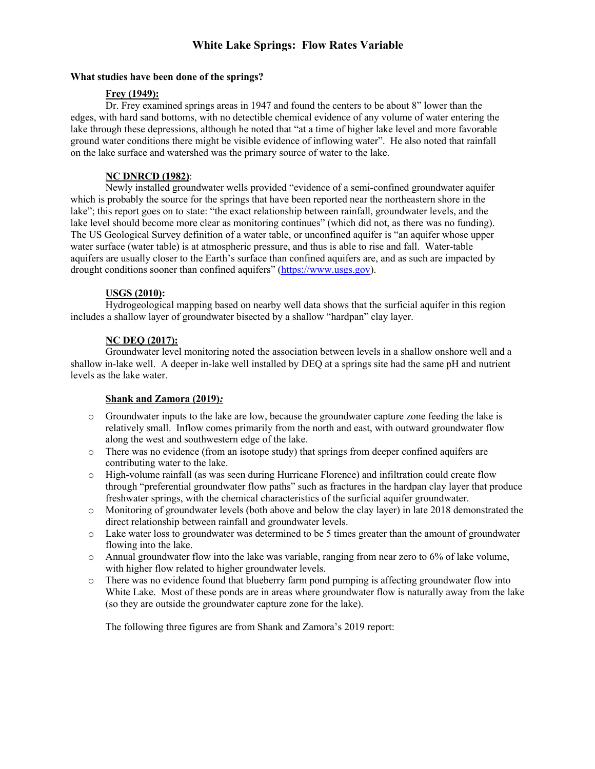# **White Lake Springs: Flow Rates Variable**

### **What studies have been done of the springs?**

# **Frey (1949):**

Dr. Frey examined springs areas in 1947 and found the centers to be about 8" lower than the edges, with hard sand bottoms, with no detectible chemical evidence of any volume of water entering the lake through these depressions, although he noted that "at a time of higher lake level and more favorable ground water conditions there might be visible evidence of inflowing water". He also noted that rainfall on the lake surface and watershed was the primary source of water to the lake.

# **NC DNRCD (1982)**:

Newly installed groundwater wells provided "evidence of a semi-confined groundwater aquifer which is probably the source for the springs that have been reported near the northeastern shore in the lake"; this report goes on to state: "the exact relationship between rainfall, groundwater levels, and the lake level should become more clear as monitoring continues" (which did not, as there was no funding). The US Geological Survey definition of a water table, or unconfined aquifer is "an aquifer whose upper water surface (water table) is at atmospheric pressure, and thus is able to rise and fall. Water-table aquifers are usually closer to the Earth's surface than confined aquifers are, and as such are impacted by drought conditions sooner than confined aquifers" (https://www.usgs.gov).

# **USGS (2010):**

Hydrogeological mapping based on nearby well data shows that the surficial aquifer in this region includes a shallow layer of groundwater bisected by a shallow "hardpan" clay layer.

# **NC DEQ (2017):**

Groundwater level monitoring noted the association between levels in a shallow onshore well and a shallow in-lake well. A deeper in-lake well installed by DEQ at a springs site had the same pH and nutrient levels as the lake water.

# **Shank and Zamora (2019)***:*

- o Groundwater inputs to the lake are low, because the groundwater capture zone feeding the lake is relatively small.Inflow comes primarily from the north and east, with outward groundwater flow along the west and southwestern edge of the lake.
- $\circ$  There was no evidence (from an isotope study) that springs from deeper confined aquifers are contributing water to the lake.
- o High-volume rainfall (as was seen during Hurricane Florence) and infiltration could create flow through "preferential groundwater flow paths" such as fractures in the hardpan clay layer that produce freshwater springs, with the chemical characteristics of the surficial aquifer groundwater.
- o Monitoring of groundwater levels (both above and below the clay layer) in late 2018 demonstrated the direct relationship between rainfall and groundwater levels.
- o Lake water loss to groundwater was determined to be 5 times greater than the amount of groundwater flowing into the lake.
- o Annual groundwater flow into the lake was variable, ranging from near zero to 6% of lake volume, with higher flow related to higher groundwater levels.
- o There was no evidence found that blueberry farm pond pumping is affecting groundwater flow into White Lake. Most of these ponds are in areas where groundwater flow is naturally away from the lake (so they are outside the groundwater capture zone for the lake).

The following three figures are from Shank and Zamora's 2019 report: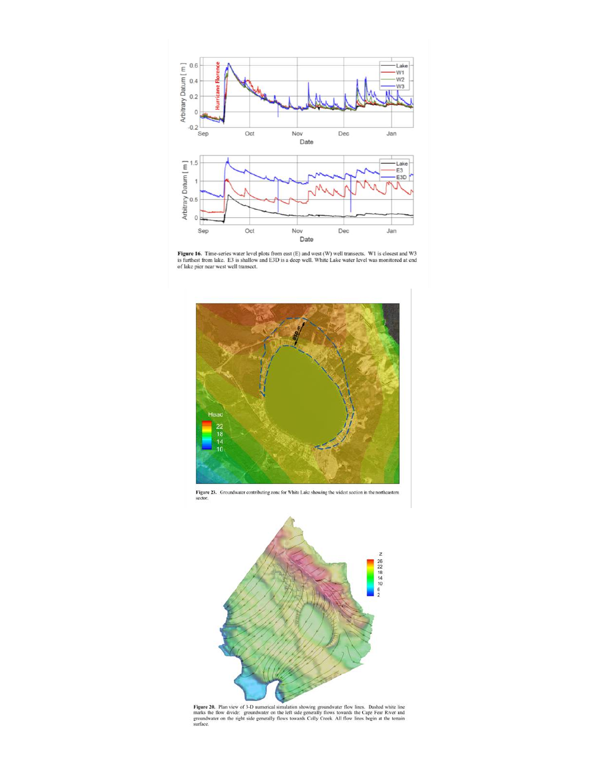

Figure 16. Time-series water level plots from east (E) and west (W) well transects. W1 is closest and W3 is furthest from lake. E3 is shallow and E3D is a deep well. White Lake water level was monitored at end of lake pier







Figure 20. Plan view of 3-D numerical simulation showing groundwater flow lines. Dashed white line marks the flow divide: groundwater on the left side generally flows towards the Cape Fear River and groundwater on the righ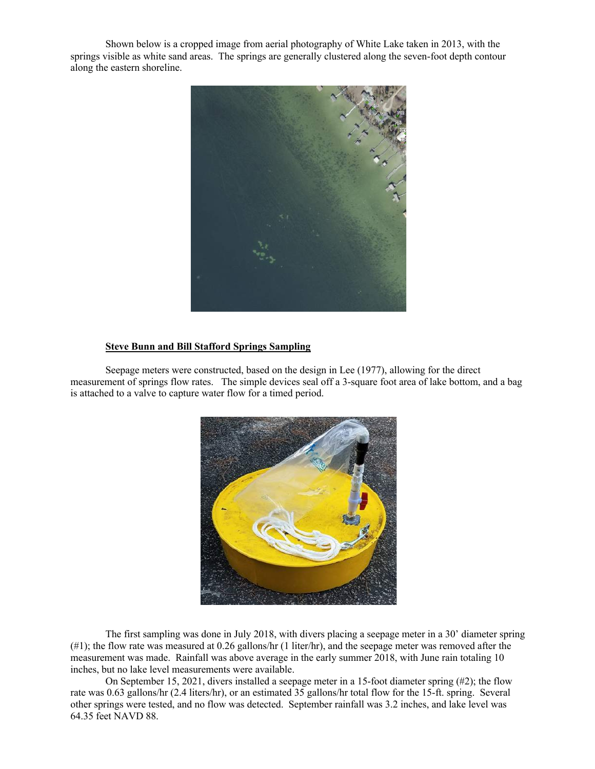Shown below is a cropped image from aerial photography of White Lake taken in 2013, with the springs visible as white sand areas. The springs are generally clustered along the seven-foot depth contour along the eastern shoreline.



#### **Steve Bunn and Bill Stafford Springs Sampling**

Seepage meters were constructed, based on the design in Lee (1977), allowing for the direct measurement of springs flow rates. The simple devices seal off a 3-square foot area of lake bottom, and a bag is attached to a valve to capture water flow for a timed period.



The first sampling was done in July 2018, with divers placing a seepage meter in a 30' diameter spring (#1); the flow rate was measured at 0.26 gallons/hr (1 liter/hr), and the seepage meter was removed after the measurement was made. Rainfall was above average in the early summer 2018, with June rain totaling 10 inches, but no lake level measurements were available.

On September 15, 2021, divers installed a seepage meter in a 15-foot diameter spring (#2); the flow rate was 0.63 gallons/hr (2.4 liters/hr), or an estimated 35 gallons/hr total flow for the 15-ft. spring. Several other springs were tested, and no flow was detected. September rainfall was 3.2 inches, and lake level was 64.35 feet NAVD 88.